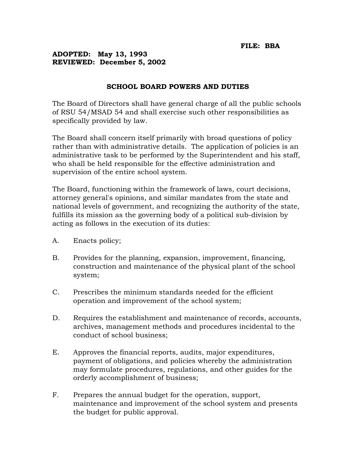## **ADOPTED: May 13, 1993 REVIEWED: December 5, 2002**

## **SCHOOL BOARD POWERS AND DUTIES**

The Board of Directors shall have general charge of all the public schools of RSU 54/MSAD 54 and shall exercise such other responsibilities as specifically provided by law.

The Board shall concern itself primarily with broad questions of policy rather than with administrative details. The application of policies is an administrative task to be performed by the Superintendent and his staff, who shall be held responsible for the effective administration and supervision of the entire school system.

The Board, functioning within the framework of laws, court decisions, attorney general's opinions, and similar mandates from the state and national levels of government, and recognizing the authority of the state, fulfills its mission as the governing body of a political sub-division by acting as follows in the execution of its duties:

- A. Enacts policy;
- B. Provides for the planning, expansion, improvement, financing, construction and maintenance of the physical plant of the school system;
- C. Prescribes the minimum standards needed for the efficient operation and improvement of the school system;
- D. Requires the establishment and maintenance of records, accounts, archives, management methods and procedures incidental to the conduct of school business;
- E. Approves the financial reports, audits, major expenditures, payment of obligations, and policies whereby the administration may formulate procedures, regulations, and other guides for the orderly accomplishment of business;
- F. Prepares the annual budget for the operation, support, maintenance and improvement of the school system and presents the budget for public approval.